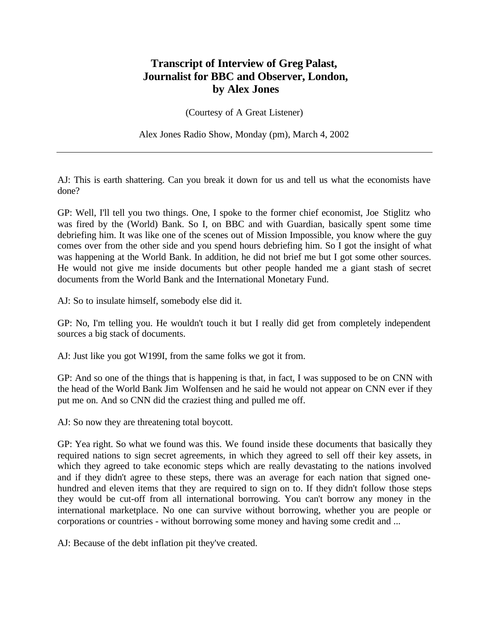## **Transcript of Interview of Greg Palast, Journalist for BBC and Observer, London, by Alex Jones**

(Courtesy of A Great Listener)

Alex Jones Radio Show, Monday (pm), March 4, 2002

AJ: This is earth shattering. Can you break it down for us and tell us what the economists have done?

GP: Well, I'll tell you two things. One, I spoke to the former chief economist, Joe Stiglitz who was fired by the (World) Bank. So I, on BBC and with Guardian, basically spent some time debriefing him. It was like one of the scenes out of Mission Impossible, you know where the guy comes over from the other side and you spend hours debriefing him. So I got the insight of what was happening at the World Bank. In addition, he did not brief me but I got some other sources. He would not give me inside documents but other people handed me a giant stash of secret documents from the World Bank and the International Monetary Fund.

AJ: So to insulate himself, somebody else did it.

GP: No, I'm telling you. He wouldn't touch it but I really did get from completely independent sources a big stack of documents.

AJ: Just like you got W199I, from the same folks we got it from.

GP: And so one of the things that is happening is that, in fact, I was supposed to be on CNN with the head of the World Bank Jim Wolfensen and he said he would not appear on CNN ever if they put me on. And so CNN did the craziest thing and pulled me off.

AJ: So now they are threatening total boycott.

GP: Yea right. So what we found was this. We found inside these documents that basically they required nations to sign secret agreements, in which they agreed to sell off their key assets, in which they agreed to take economic steps which are really devastating to the nations involved and if they didn't agree to these steps, there was an average for each nation that signed onehundred and eleven items that they are required to sign on to. If they didn't follow those steps they would be cut-off from all international borrowing. You can't borrow any money in the international marketplace. No one can survive without borrowing, whether you are people or corporations or countries - without borrowing some money and having some credit and ...

AJ: Because of the debt inflation pit they've created.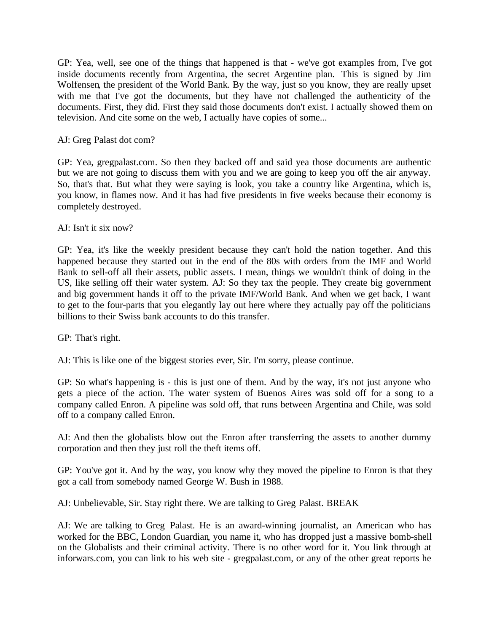GP: Yea, well, see one of the things that happened is that - we've got examples from, I've got inside documents recently from Argentina, the secret Argentine plan. This is signed by Jim Wolfensen, the president of the World Bank. By the way, just so you know, they are really upset with me that I've got the documents, but they have not challenged the authenticity of the documents. First, they did. First they said those documents don't exist. I actually showed them on television. And cite some on the web, I actually have copies of some...

AJ: Greg Palast dot com?

GP: Yea, gregpalast.com. So then they backed off and said yea those documents are authentic but we are not going to discuss them with you and we are going to keep you off the air anyway. So, that's that. But what they were saying is look, you take a country like Argentina, which is, you know, in flames now. And it has had five presidents in five weeks because their economy is completely destroyed.

AJ: Isn't it six now?

GP: Yea, it's like the weekly president because they can't hold the nation together. And this happened because they started out in the end of the 80s with orders from the IMF and World Bank to sell-off all their assets, public assets. I mean, things we wouldn't think of doing in the US, like selling off their water system. AJ: So they tax the people. They create big government and big government hands it off to the private IMF/World Bank. And when we get back, I want to get to the four-parts that you elegantly lay out here where they actually pay off the politicians billions to their Swiss bank accounts to do this transfer.

GP: That's right.

AJ: This is like one of the biggest stories ever, Sir. I'm sorry, please continue.

GP: So what's happening is - this is just one of them. And by the way, it's not just anyone who gets a piece of the action. The water system of Buenos Aires was sold off for a song to a company called Enron. A pipeline was sold off, that runs between Argentina and Chile, was sold off to a company called Enron.

AJ: And then the globalists blow out the Enron after transferring the assets to another dummy corporation and then they just roll the theft items off.

GP: You've got it. And by the way, you know why they moved the pipeline to Enron is that they got a call from somebody named George W. Bush in 1988.

AJ: Unbelievable, Sir. Stay right there. We are talking to Greg Palast. BREAK

AJ: We are talking to Greg Palast. He is an award-winning journalist, an American who has worked for the BBC, London Guardian, you name it, who has dropped just a massive bomb-shell on the Globalists and their criminal activity. There is no other word for it. You link through at inforwars.com, you can link to his web site - gregpalast.com, or any of the other great reports he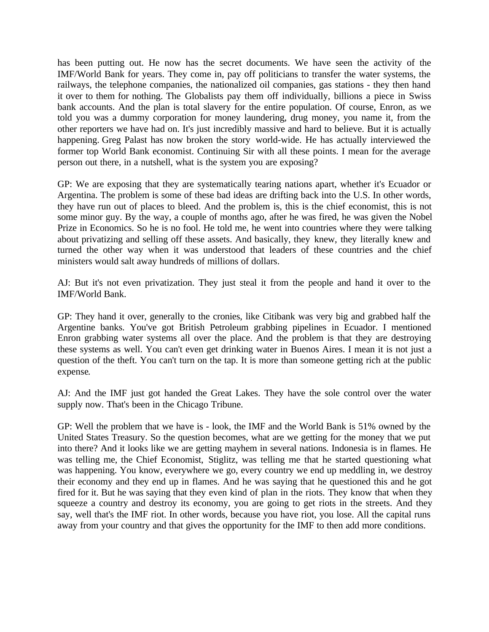has been putting out. He now has the secret documents. We have seen the activity of the IMF/World Bank for years. They come in, pay off politicians to transfer the water systems, the railways, the telephone companies, the nationalized oil companies, gas stations - they then hand it over to them for nothing. The Globalists pay them off individually, billions a piece in Swiss bank accounts. And the plan is total slavery for the entire population. Of course, Enron, as we told you was a dummy corporation for money laundering, drug money, you name it, from the other reporters we have had on. It's just incredibly massive and hard to believe. But it is actually happening. Greg Palast has now broken the story world-wide. He has actually interviewed the former top World Bank economist. Continuing Sir with all these points. I mean for the average person out there, in a nutshell, what is the system you are exposing?

GP: We are exposing that they are systematically tearing nations apart, whether it's Ecuador or Argentina. The problem is some of these bad ideas are drifting back into the U.S. In other words, they have run out of places to bleed. And the problem is, this is the chief economist, this is not some minor guy. By the way, a couple of months ago, after he was fired, he was given the Nobel Prize in Economics. So he is no fool. He told me, he went into countries where they were talking about privatizing and selling off these assets. And basically, they knew, they literally knew and turned the other way when it was understood that leaders of these countries and the chief ministers would salt away hundreds of millions of dollars.

AJ: But it's not even privatization. They just steal it from the people and hand it over to the IMF/World Bank.

GP: They hand it over, generally to the cronies, like Citibank was very big and grabbed half the Argentine banks. You've got British Petroleum grabbing pipelines in Ecuador. I mentioned Enron grabbing water systems all over the place. And the problem is that they are destroying these systems as well. You can't even get drinking water in Buenos Aires. I mean it is not just a question of the theft. You can't turn on the tap. It is more than someone getting rich at the public expense.

AJ: And the IMF just got handed the Great Lakes. They have the sole control over the water supply now. That's been in the Chicago Tribune.

GP: Well the problem that we have is - look, the IMF and the World Bank is 51% owned by the United States Treasury. So the question becomes, what are we getting for the money that we put into there? And it looks like we are getting mayhem in several nations. Indonesia is in flames. He was telling me, the Chief Economist, Stiglitz, was telling me that he started questioning what was happening. You know, everywhere we go, every country we end up meddling in, we destroy their economy and they end up in flames. And he was saying that he questioned this and he got fired for it. But he was saying that they even kind of plan in the riots. They know that when they squeeze a country and destroy its economy, you are going to get riots in the streets. And they say, well that's the IMF riot. In other words, because you have riot, you lose. All the capital runs away from your country and that gives the opportunity for the IMF to then add more conditions.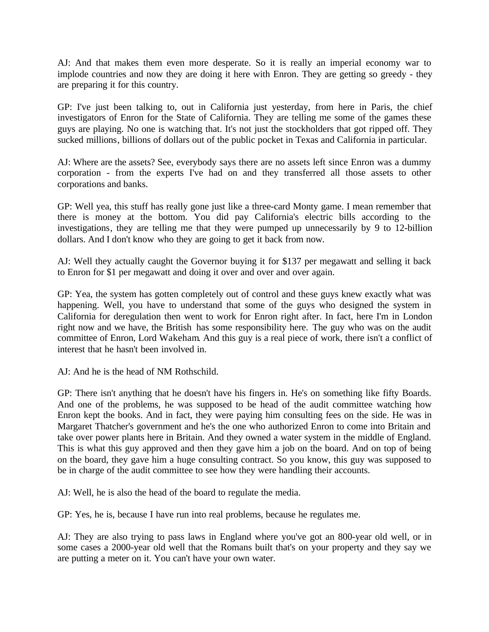AJ: And that makes them even more desperate. So it is really an imperial economy war to implode countries and now they are doing it here with Enron. They are getting so greedy - they are preparing it for this country.

GP: I've just been talking to, out in California just yesterday, from here in Paris, the chief investigators of Enron for the State of California. They are telling me some of the games these guys are playing. No one is watching that. It's not just the stockholders that got ripped off. They sucked millions, billions of dollars out of the public pocket in Texas and California in particular.

AJ: Where are the assets? See, everybody says there are no assets left since Enron was a dummy corporation - from the experts I've had on and they transferred all those assets to other corporations and banks.

GP: Well yea, this stuff has really gone just like a three-card Monty game. I mean remember that there is money at the bottom. You did pay California's electric bills according to the investigations, they are telling me that they were pumped up unnecessarily by 9 to 12-billion dollars. And I don't know who they are going to get it back from now.

AJ: Well they actually caught the Governor buying it for \$137 per megawatt and selling it back to Enron for \$1 per megawatt and doing it over and over and over again.

GP: Yea, the system has gotten completely out of control and these guys knew exactly what was happening. Well, you have to understand that some of the guys who designed the system in California for deregulation then went to work for Enron right after. In fact, here I'm in London right now and we have, the British has some responsibility here. The guy who was on the audit committee of Enron, Lord Wakeham. And this guy is a real piece of work, there isn't a conflict of interest that he hasn't been involved in.

AJ: And he is the head of NM Rothschild.

GP: There isn't anything that he doesn't have his fingers in. He's on something like fifty Boards. And one of the problems, he was supposed to be head of the audit committee watching how Enron kept the books. And in fact, they were paying him consulting fees on the side. He was in Margaret Thatcher's government and he's the one who authorized Enron to come into Britain and take over power plants here in Britain. And they owned a water system in the middle of England. This is what this guy approved and then they gave him a job on the board. And on top of being on the board, they gave him a huge consulting contract. So you know, this guy was supposed to be in charge of the audit committee to see how they were handling their accounts.

AJ: Well, he is also the head of the board to regulate the media.

GP: Yes, he is, because I have run into real problems, because he regulates me.

AJ: They are also trying to pass laws in England where you've got an 800-year old well, or in some cases a 2000-year old well that the Romans built that's on your property and they say we are putting a meter on it. You can't have your own water.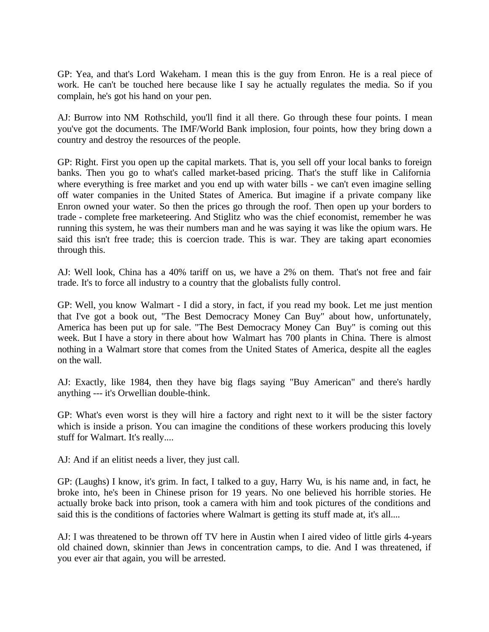GP: Yea, and that's Lord Wakeham. I mean this is the guy from Enron. He is a real piece of work. He can't be touched here because like I say he actually regulates the media. So if you complain, he's got his hand on your pen.

AJ: Burrow into NM Rothschild, you'll find it all there. Go through these four points. I mean you've got the documents. The IMF/World Bank implosion, four points, how they bring down a country and destroy the resources of the people.

GP: Right. First you open up the capital markets. That is, you sell off your local banks to foreign banks. Then you go to what's called market-based pricing. That's the stuff like in California where everything is free market and you end up with water bills - we can't even imagine selling off water companies in the United States of America. But imagine if a private company like Enron owned your water. So then the prices go through the roof. Then open up your borders to trade - complete free marketeering. And Stiglitz who was the chief economist, remember he was running this system, he was their numbers man and he was saying it was like the opium wars. He said this isn't free trade; this is coercion trade. This is war. They are taking apart economies through this.

AJ: Well look, China has a 40% tariff on us, we have a 2% on them. That's not free and fair trade. It's to force all industry to a country that the globalists fully control.

GP: Well, you know Walmart - I did a story, in fact, if you read my book. Let me just mention that I've got a book out, "The Best Democracy Money Can Buy" about how, unfortunately, America has been put up for sale. "The Best Democracy Money Can Buy" is coming out this week. But I have a story in there about how Walmart has 700 plants in China. There is almost nothing in a Walmart store that comes from the United States of America, despite all the eagles on the wall.

AJ: Exactly, like 1984, then they have big flags saying "Buy American" and there's hardly anything --- it's Orwellian double-think.

GP: What's even worst is they will hire a factory and right next to it will be the sister factory which is inside a prison. You can imagine the conditions of these workers producing this lovely stuff for Walmart. It's really....

AJ: And if an elitist needs a liver, they just call.

GP: (Laughs) I know, it's grim. In fact, I talked to a guy, Harry Wu, is his name and, in fact, he broke into, he's been in Chinese prison for 19 years. No one believed his horrible stories. He actually broke back into prison, took a camera with him and took pictures of the conditions and said this is the conditions of factories where Walmart is getting its stuff made at, it's all....

AJ: I was threatened to be thrown off TV here in Austin when I aired video of little girls 4-years old chained down, skinnier than Jews in concentration camps, to die. And I was threatened, if you ever air that again, you will be arrested.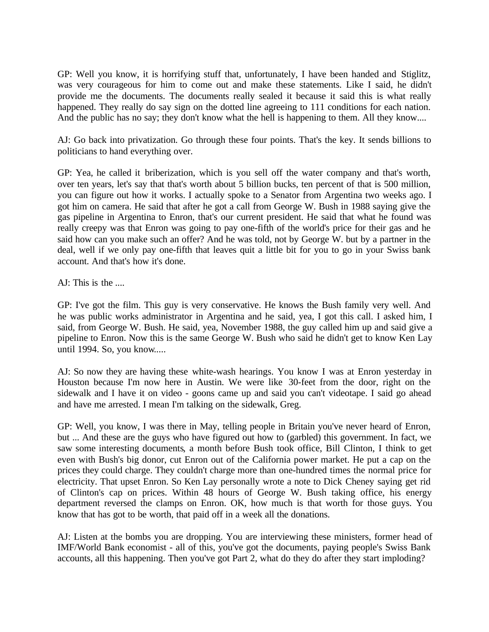GP: Well you know, it is horrifying stuff that, unfortunately, I have been handed and Stiglitz, was very courageous for him to come out and make these statements. Like I said, he didn't provide me the documents. The documents really sealed it because it said this is what really happened. They really do say sign on the dotted line agreeing to 111 conditions for each nation. And the public has no say; they don't know what the hell is happening to them. All they know....

AJ: Go back into privatization. Go through these four points. That's the key. It sends billions to politicians to hand everything over.

GP: Yea, he called it briberization, which is you sell off the water company and that's worth, over ten years, let's say that that's worth about 5 billion bucks, ten percent of that is 500 million, you can figure out how it works. I actually spoke to a Senator from Argentina two weeks ago. I got him on camera. He said that after he got a call from George W. Bush in 1988 saying give the gas pipeline in Argentina to Enron, that's our current president. He said that what he found was really creepy was that Enron was going to pay one-fifth of the world's price for their gas and he said how can you make such an offer? And he was told, not by George W. but by a partner in the deal, well if we only pay one-fifth that leaves quit a little bit for you to go in your Swiss bank account. And that's how it's done.

AJ: This is the ....

GP: I've got the film. This guy is very conservative. He knows the Bush family very well. And he was public works administrator in Argentina and he said, yea, I got this call. I asked him, I said, from George W. Bush. He said, yea, November 1988, the guy called him up and said give a pipeline to Enron. Now this is the same George W. Bush who said he didn't get to know Ken Lay until 1994. So, you know.....

AJ: So now they are having these white-wash hearings. You know I was at Enron yesterday in Houston because I'm now here in Austin. We were like 30-feet from the door, right on the sidewalk and I have it on video - goons came up and said you can't videotape. I said go ahead and have me arrested. I mean I'm talking on the sidewalk, Greg.

GP: Well, you know, I was there in May, telling people in Britain you've never heard of Enron, but ... And these are the guys who have figured out how to (garbled) this government. In fact, we saw some interesting documents, a month before Bush took office, Bill Clinton, I think to get even with Bush's big donor, cut Enron out of the California power market. He put a cap on the prices they could charge. They couldn't charge more than one-hundred times the normal price for electricity. That upset Enron. So Ken Lay personally wrote a note to Dick Cheney saying get rid of Clinton's cap on prices. Within 48 hours of George W. Bush taking office, his energy department reversed the clamps on Enron. OK, how much is that worth for those guys. You know that has got to be worth, that paid off in a week all the donations.

AJ: Listen at the bombs you are dropping. You are interviewing these ministers, former head of IMF/World Bank economist - all of this, you've got the documents, paying people's Swiss Bank accounts, all this happening. Then you've got Part 2, what do they do after they start imploding?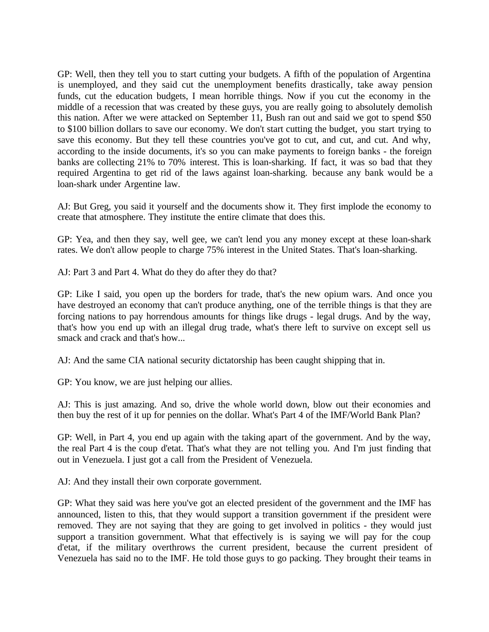GP: Well, then they tell you to start cutting your budgets. A fifth of the population of Argentina is unemployed, and they said cut the unemployment benefits drastically, take away pension funds, cut the education budgets, I mean horrible things. Now if you cut the economy in the middle of a recession that was created by these guys, you are really going to absolutely demolish this nation. After we were attacked on September 11, Bush ran out and said we got to spend \$50 to \$100 billion dollars to save our economy. We don't start cutting the budget, you start trying to save this economy. But they tell these countries you've got to cut, and cut, and cut. And why, according to the inside documents, it's so you can make payments to foreign banks - the foreign banks are collecting 21% to 70% interest. This is loan-sharking. If fact, it was so bad that they required Argentina to get rid of the laws against loan-sharking. because any bank would be a loan-shark under Argentine law.

AJ: But Greg, you said it yourself and the documents show it. They first implode the economy to create that atmosphere. They institute the entire climate that does this.

GP: Yea, and then they say, well gee, we can't lend you any money except at these loan-shark rates. We don't allow people to charge 75% interest in the United States. That's loan-sharking.

AJ: Part 3 and Part 4. What do they do after they do that?

GP: Like I said, you open up the borders for trade, that's the new opium wars. And once you have destroyed an economy that can't produce anything, one of the terrible things is that they are forcing nations to pay horrendous amounts for things like drugs - legal drugs. And by the way, that's how you end up with an illegal drug trade, what's there left to survive on except sell us smack and crack and that's how...

AJ: And the same CIA national security dictatorship has been caught shipping that in.

GP: You know, we are just helping our allies.

AJ: This is just amazing. And so, drive the whole world down, blow out their economies and then buy the rest of it up for pennies on the dollar. What's Part 4 of the IMF/World Bank Plan?

GP: Well, in Part 4, you end up again with the taking apart of the government. And by the way, the real Part 4 is the coup d'etat. That's what they are not telling you. And I'm just finding that out in Venezuela. I just got a call from the President of Venezuela.

AJ: And they install their own corporate government.

GP: What they said was here you've got an elected president of the government and the IMF has announced, listen to this, that they would support a transition government if the president were removed. They are not saying that they are going to get involved in politics - they would just support a transition government. What that effectively is is saying we will pay for the coup d'etat, if the military overthrows the current president, because the current president of Venezuela has said no to the IMF. He told those guys to go packing. They brought their teams in